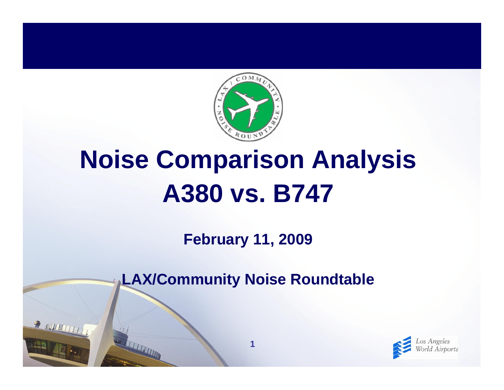

# **Noise Comparison Analysis A380 vs. B747**

**February 11, 2009**

**LAX/Community Noise Roundtable**

**1**

 $\frac{1}{2}$  (WHEETITE)

**THEFING** 

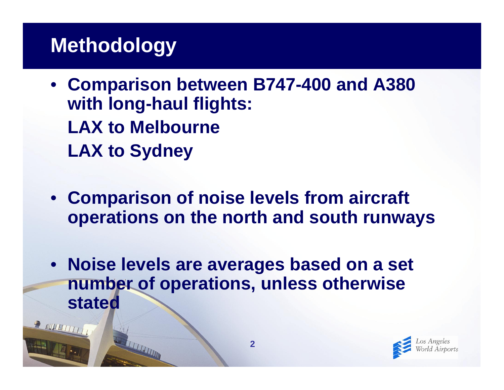# **Methodology**

**TELEVISION** 

R MULTITTI

- **Comparison between B747-400 and A380 with long-haul flights: LAX to Melbourne LAX to Sydney**
- **Comparison of noise levels from aircraft operations on the north and south runways**
- **Noise levels are averages based on a set number of operations, unless otherwise stated**

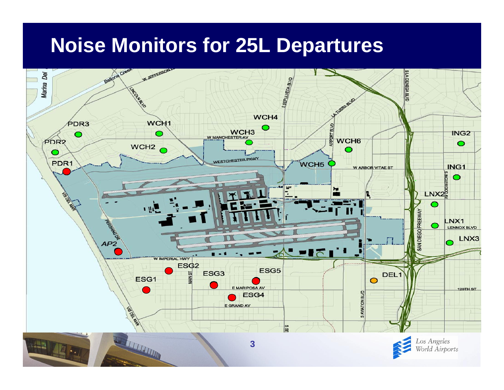## **Noise Monitors for 25L Departures**

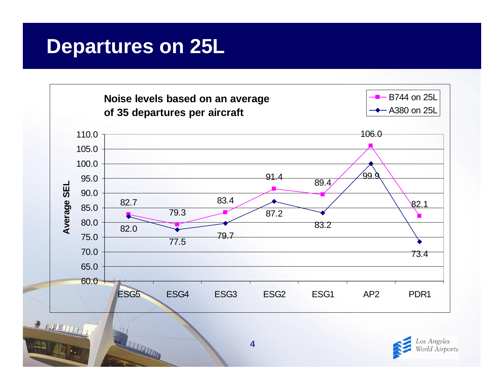### **Departures on 25L**

**THE REAL PROPERTY AND** 





**4**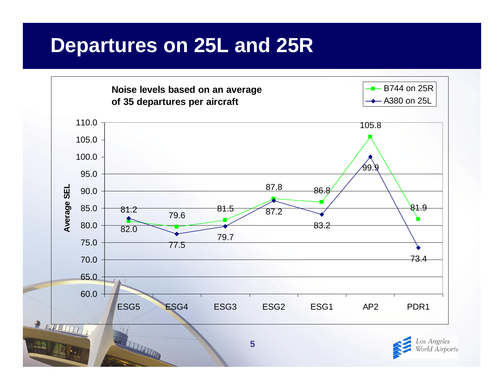### **Departures on 25L and 25R**

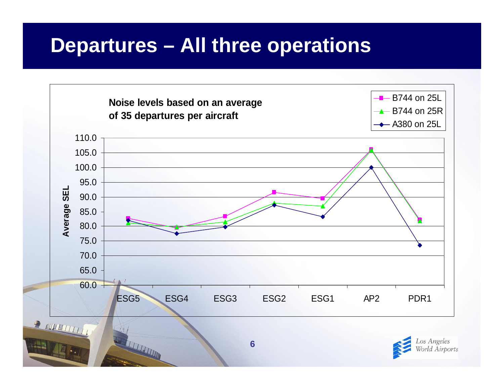### **Departures – All three operations**

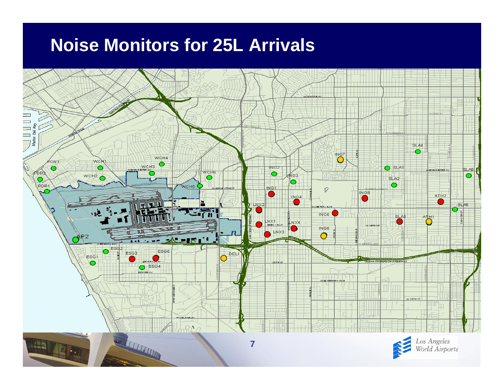#### **Noise Monitors for 25L Arrivals**

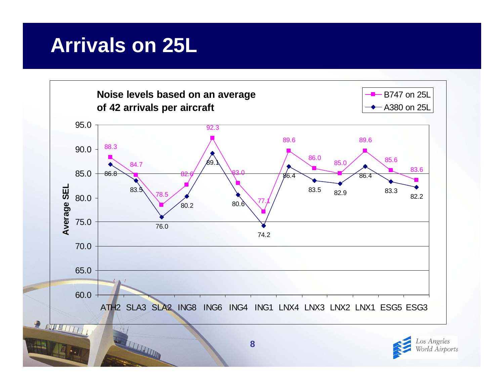## **Arrivals on 25L**

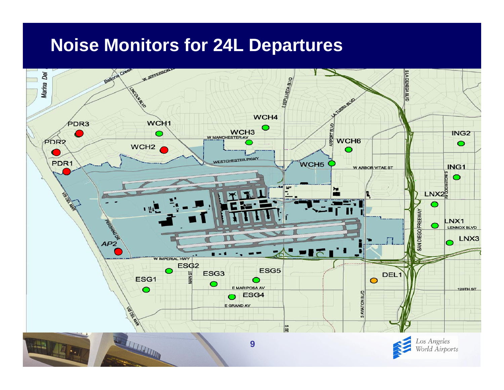#### **Noise Monitors for 24L Departures**

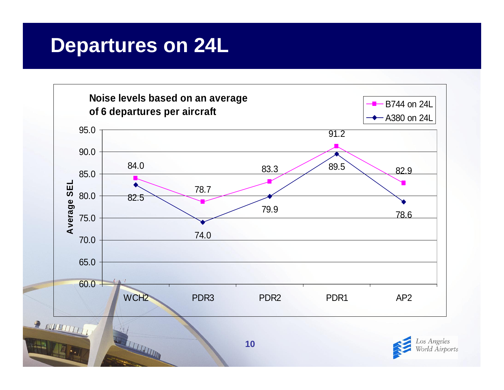### **Departures on 24L**

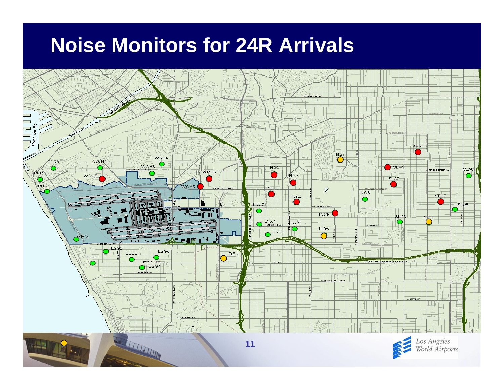# **Noise Monitors for 24R Arrivals**

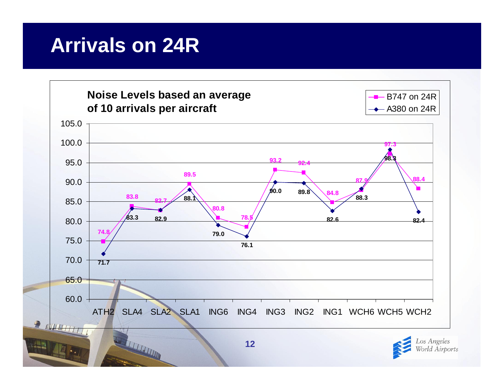## **Arrivals on 24R**

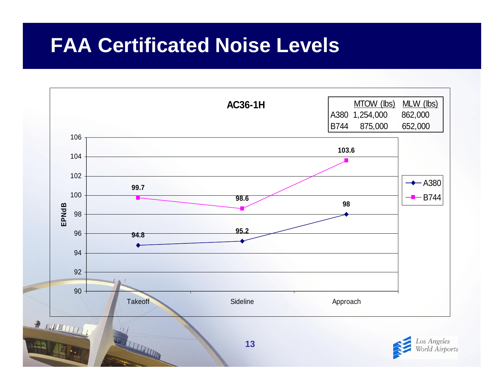### **FAA Certificated Noise Levels**

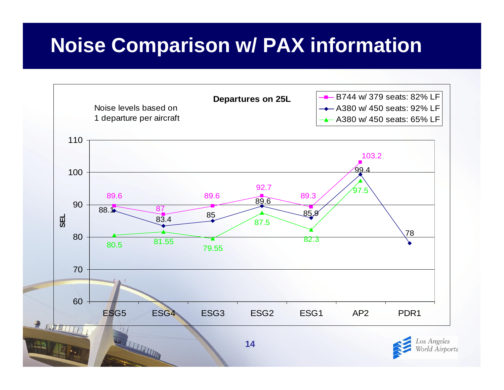# **Noise Comparison w/ PAX information**